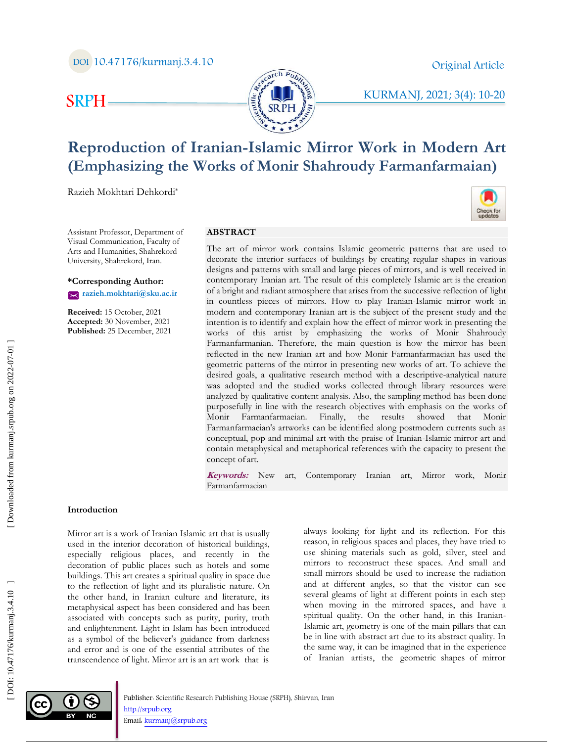Check for<br>updates

# SRPH



# KURMANJ, 2021; 3(4) : 10 -20

# **Reproduction of Iranian -Islamic Mirror Work in Modern Art (Emphasizing the Works of Monir Shahroudy Farmanfarmaian)**

Razieh Mokhtari Dehkordi \*

Assistant Professor, Department of Visual Communication, Faculty of Arts and Humanities, Shahrekord University, Shahrekord, Iran .

**\*Corresponding Author: razieh.mokhtari@sku.ac.ir** 

**Received:** 15 October, 202 1 **Accepted:** 30 November, 202 1 **Published:** 25 December, 202 1

#### **ABSTRACT**

The art of mirror work contains Islamic geometric patterns that are used to decorate the interior surfaces of buildings by creating regular shapes in various designs and patterns with small and large pieces of mirrors, and is well received in contemporary Iranian art. The result of this completely Islamic art is the creation of a bright and radiant atmosphere that arises from the successive reflection of light in countless pieces of mirrors. How to play Iranian -Islamic mirror work in modern and contemporary Iranian art is the subject of the present study and the intention is to identify and explain how the effect of mirror work in presenting the works of this artist by emphasizing the works of Monir Shahroudy Farmanfarmanian. Therefore, the main question is how the mirror has been reflected in the new Iranian art and how Monir Farmanfarmaeian has used the geometric patterns of the mirror in presenting new works of art. To achieve the desired goals, a qualitative research method with a descriptive -analytical nature was adopted and the studied works collected through library resources were analyzed by qualitative content analysis. Also, the sampling method has been done purposefully in line with the research objectives with emphasis on the works of Monir Farmanfarmaeian. Finally, the results showed that Monir Farmanfarmaeian's artworks can be identified along postmodern currents such as conceptual, pop and minimal art with the praise of Iranian -Islamic mirror art and contain metaphysical and metaphorical references with the capacity to present the concept of art.

**Keywords:** New art, Contemporary Iranian art, Mirror work, Monir Farmanfarmaeian

#### **Introduction**

Mirror art is a work of Iranian Islamic art that is usually used in the interior decoration of historical buildings, especially religious places, and recently in the decoration of public places such as hotels and some buildings. This art creates a spiritual quality in space due to the reflection of light and its pluralistic nature. On the other hand, in Iranian culture and literature, its metaphysical aspect has been considered and has been associated with concepts such as purity, purity, truth and enlightenment. Light in Islam has been introduced as a symbol of the believer's guidance from darkness and error and is one of the essential attributes of the transcendence of light. Mirror art is an art work that is

always looking for light and its reflection. For this reason, in religious spaces and places, they have tried to use shining materials such as gold, silver, steel and mirrors to reconstruct these spaces. And small and small mirrors should be used to increase the radiation and at different angles, so that the visitor can see several gleams of light at different points in each step when moving in the mirrored spaces, and have a spiritual quality. On the other hand, in this Iranian - Islamic art, geometry is one of the main pillars that can be in line with abstract art due to its abstract quality. In the same way, it can be imagined that in the experience of Iranian artists, the geometric shapes of mirror

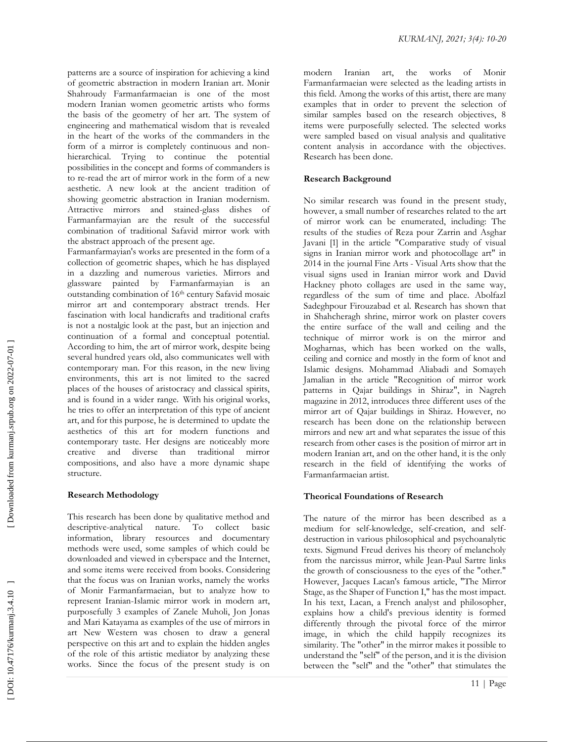patterns are a source of inspiration for achieving a kind of geometric abstraction in modern Iranian art. Monir Shahroudy Farmanfarmaeian is one of the most modern Iranian women geometric artists who forms the basis of the geometry of her art. The system of engineering and mathematical wisdom that is revealed in the heart of the works of the commanders in the form of a mirror is completely continuous and nonhierarchical. Trying to continue the potential possibilities in the concept and forms of commanders is to re -read the art of mirror work in the form of a new aesthetic. A new look at the ancient tradition of showing geometric abstraction in Iranian modernism. Attractive mirrors and stained -glass dishes of Farmanfarmayian are the result of the successful combination of traditional Safavid mirror work with the abstract approach of the present age.

Farmanfarmayian's works are presented in the form of a collection of geometric shapes, which he has displayed in a dazzling and numerous varieties. Mirrors and glassware painted by Farmanfarmayian is an outstanding combination of 16<sup>th</sup> century Safavid mosaic mirror art and contemporary abstract trends. Her fascination with local handicrafts and traditional crafts is not a nostalgic look at the past, but an injection and continuation of a formal and conceptual potential. According to him, the art of mirror work, despite being several hundred years old, also communicates well with contemporary man. For this reason, in the new living environments, this art is not limited to the sacred places of the houses of aristocracy and classical spirits, and is found in a wider range. With his original works, he tries to offer an interpretation of this type of ancient art, and for this purpose, he is determined to update the aesthetics of this art for modern functions and contemporary taste. Her designs are noticeably more creative and diverse than traditional mirror compositions, and also have a more dynamic shape structure.

#### **Research Methodology**

This research has been done by qualitative method and descriptive -analytical nature. To collect basic information, library resources and documentary methods were used, some samples of which could be downloaded and viewed in cyberspace and the Internet, and some items were received from books. Considering that the focus was on Iranian works, namely the works of Monir Farmanfarmaeian, but to analyze how to represent Iranian -Islamic mirror work in modern art, purposefully 3 examples of Zanele Muholi, Jon Jonas and Mari Katayama as examples of the use of mirrors in art New Western was chosen to draw a general perspective on this art and to explain the hidden angles of the role of this artistic mediator by analyzing these works. Since the focus of the present study is on

modern Iranian art, the works of Monir Farmanfarmaeian were selected as the leading artists in this field. Among the works of this artist, there are many examples that in order to prevent the selection of similar samples based on the research objectives, 8 items were purposefully selected. The selected works were sampled based on visual analysis and qualitative content analysis in accordance with the objectives. Research has been done.

### **Research Background**

No similar research was found in the present study, however, a small number of researches related to the art of mirror work can be enumerated, including: The results of the studies of Reza pour Zarrin and Asghar Javani [ 1] in the article "Comparative study of visual signs in Iranian mirror work and photocollage art" in 2014 in the journal Fine Arts - Visual Arts show that the visual signs used in Iranian mirror work and David Hackney photo collages are used in the same way, regardless of the sum of time and place. Abolfazl Sadeghpour Firouzabad et al. Research has shown that in Shahcheragh shrine, mirror work on plaster covers the entire surface of the wall and ceiling and the technique of mirror work is on the mirror and Mogharnas, which has been worked on the walls, ceiling and cornice and mostly in the form of knot and Islamic designs. Mohammad Aliabadi and Somayeh Jamalian in the article "Recognition of mirror work patterns in Qajar buildings in Shiraz", in Nagreh magazine in 2012, introduces three different uses of the mirror art of Qajar buildings in Shiraz. However, no research has been done on the relationship between mirrors and new art and what separates the issue of this research from other cases is the position of mirror art in modern Iranian art, and on the other hand, it is the only research in the field of identifying the works of Farmanfarmaeian artist.

## **Theorical Foundations o f Research**

The nature of the mirror has been described as a medium for self-knowledge, self-creation, and selfdestruction in various philosophical and psychoanalytic texts. Sigmund Freud derives his theory of melancholy from the narcissus mirror, while Jean -Paul Sartre links the growth of consciousness to the eyes of the "other." However, Jacques Lacan's famous article, "The Mirror Stage, as the Shaper of Function I," has the most impact. In his text, Lacan, a French analyst and philosopher, explains how a child's previous identity is formed differently through the pivotal force of the mirror image, in which the child happily recognizes its similarity. The "other" in the mirror makes it possible to understand the "self" of the person, and it is the division between the "self" and the "other" that stimulates the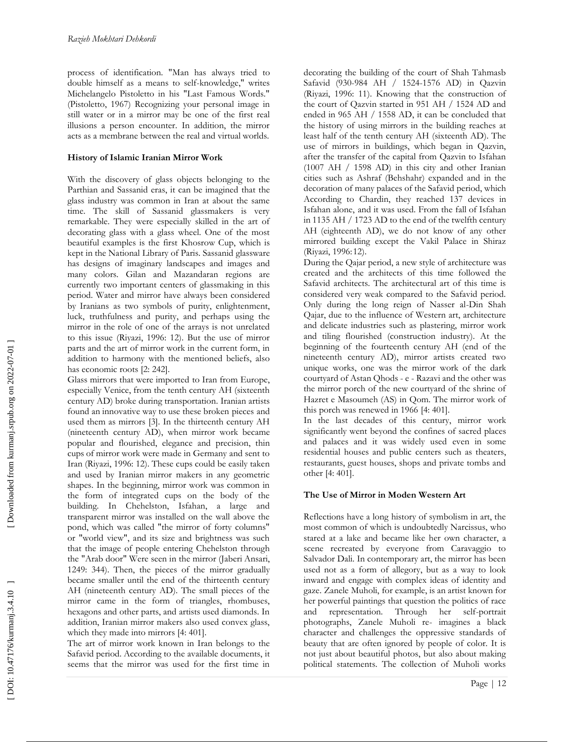process of identification. "Man has always tried to double himself as a means to self-knowledge," writes Michelangelo Pistoletto in his "Last Famous Words." (Pistoletto, 1967) Recognizing your personal image in still water or in a mirror may be one of the first real illusions a person encounter. In addition, the mirror acts as a membrane between the real and virtual worlds.

#### **History of Islamic Iranian Mirror Work**

With the discovery of glass objects belonging to the Parthian and Sassanid eras, it can be imagined that the glass industry was common in Iran at about the same time. The skill of Sassanid glassmakers is very remarkable. They were especially skilled in the art of decorating glass with a glass wheel. One of the most beautiful examples is the first Khosrow Cup, which is kept in the National Library of Paris. Sassanid glassware has designs of imaginary landscapes and images and many colors. Gilan and Mazandaran regions are currently two important centers of glassmaking in this period. Water and mirror have always been considered by Iranians as two symbols of purity, enlightenment, luck, truthfulness and purity, and perhaps using the mirror in the role of one of the arrays is not unrelated to this issue (Riyazi, 1996: 12). But the use of mirror parts and the art of mirror work in the current form, in addition to harmony with the mentioned beliefs, also has economic roots [2: 242].

Glass mirrors that were imported to Iran from Europe, especially Venice, from the tenth century AH (sixteenth century AD) broke during transportation. Iranian artists found an innovative way to use these broken pieces and used them as mirrors [ 3 ]. In the thirteenth century AH (nineteenth century AD), when mirror work became popular and flourished, elegance and precision, thin cups of mirror work were made in Germany and sent to Iran (Riyazi, 1996: 12). These cups could be easily taken and used by Iranian mirror makers in any geometric shapes. In the beginning, mirror work was common in the form of integrated cups on the body of the building. In Chehelston, Isfahan, a large and transparent mirror was installed on the wall above the pond, which was called "the mirror of forty columns" or "world view", and its size and brightness was such that the image of people entering Chehelston through the "Arab door" Were seen in the mirror (Jaberi Ansari, 1249 : 344). Then, the pieces of the mirror gradually became smaller until the end of the thirteenth century AH (nineteenth century AD). The small pieces of the mirror came in the form of triangles, rhombuses, hexagons and other parts, and artists used diamonds. In addition, Iranian mirror makers also used convex glass, which they made into mirrors [4: 401].

The art of mirror work known in Iran belongs to the Safavid period. According to the available documents, it seems that the mirror was used for the first time in decorating the building of the court of Shah Tahmasb Safavid (930 -984 AH / 1524 -1576 AD) in Qazvin (Riyazi, 1996: 11). Knowing that the construction of the court of Qazvin started in 951 AH / 1524 AD and ended in 965 AH / 1558 AD, it can be concluded that the history of using mirrors in the building reaches at least half of the tenth century AH (sixteenth AD). The use of mirrors in buildings, which began in Qazvin, after the transfer of the capital from Qazvin to Isfahan (1007 AH / 1598 AD) in this city and other Iranian cities such as Ashraf (Behshahr) expanded and in the decoration of many palaces of the Safavid period, which According to Chardin, they reached 137 devices in Isfahan alone, and it was used. From the fall of Isfahan in 1135 AH / 1723 AD to the end of the twelfth century AH (eighteenth AD), we do not know of any other mirrored building except the Vakil Palace in Shiraz (Riyazi, 1996:12).

During the Qajar period, a new style of architecture was created and the architects of this time followed the Safavid architects. The architectural art of this time is considered very weak compared to the Safavid period. Only during the long reign of Nasser al -Din Shah Qajar, due to the influence of Western art, architecture and delicate industries such as plastering, mirror work and tiling flourished (construction industry). At the beginning of the fourteenth century AH (end of the nineteenth century AD), mirror artists created two unique works, one was the mirror work of the dark courtyard of Astan Qhods - e - Razavi an d the other was the mirror porch of the new courtyard of the shrine of Hazret e Masoumeh (AS) in Qom. The mirror work of this porch was renewed in 1966 [4: 401].

In the last decades of this century, mirror work significantly went beyond the confines of sacred places and palaces and it was widely used even in some residential houses and public centers such as theaters, restaurants, guest houses, shops and private tombs and other [ 4 : 401] .

#### **The Use of Mirror in Moden Western Art**

Reflections have a long history of symbolism in art, the most common of which is undoubtedly Narcissus, who stared at a lake and became like her own character, a scene recreated by everyone from Caravaggio to Salvador Dali. In contemporary art, the mirror has been used not as a form of allegory, but as a way to look inward and engage with complex ideas of identity and gaze. Zanele Muholi, for example, is an artist known for her powerful paintings that question the politics of race and representation. Through her self-portrait photographs, Zanele Muholi re - imagines a black character and challenges the oppressive standards of beauty that are often ignored by people of color. It is not just about beautiful photos, but also about making political statements. The collection of Muholi works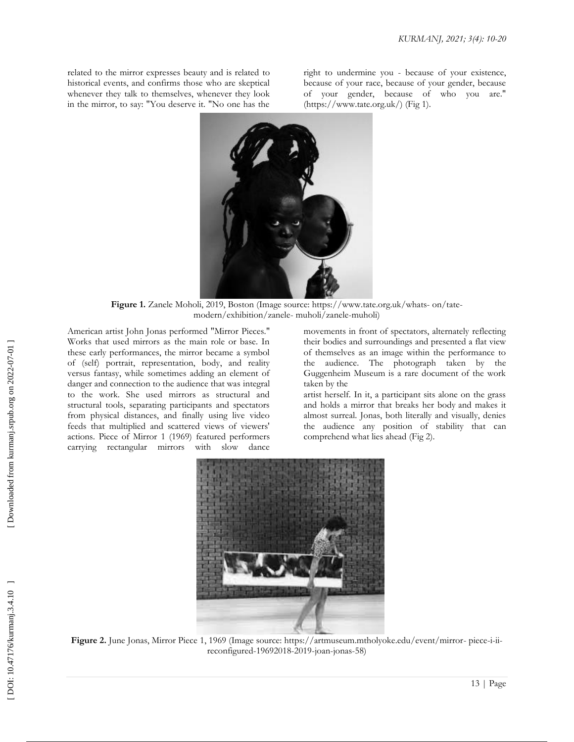related to the mirror expresses beauty and is related to historical events, and confirms those who are skeptical whenever they talk to themselves, whenever they look in the mirror, to say: "You deserve it. "No one has the

right to undermine you - because of your existence, because of your race, because of your gender, because of your gender, because of who you are." (https://www.tate.org.uk/) ( Fig 1).



Figure 1. Zanele Moholi, 2019, Boston (Image source: https://www.tate.org.uk/whats- on/tatemodern/exhibition/zanele - muholi/zanele -muholi)

American artist John Jonas performed "Mirror Pieces." Works that used mirrors as the main role or base. In these early performances, the mirror became a symbol of (self) portrait, representation, body, and reality versus fantasy, while sometimes adding an element of danger and connection to the audience that was integral to the work. She used mirrors as structural and structural tools, separating participants and spectators from physical distances, and finally using live video feeds that multiplied and scattered views of viewers' actions. Piece of Mirror 1 (1969) featured performers carrying rectangular mirrors with slow dance

movements in front of spectators, alternately reflecting their bodies and surroundings and presented a flat view of themselves as an image within the performance to the audience. The photograph taken by the Guggenheim Museum is a rare document of the work taken by the

artist herself. In it, a participant sits alone on the grass and holds a mirror that breaks her body and makes it almost surreal. Jonas, both literally and visually, denies the audience any position of stability that can comprehend what lies ahead (Fig 2) .



Figure 2. June Jonas, Mirror Piece 1, 1969 (Image source: https://artmuseum.mtholyoke.edu/event/mirror- piece-i-iireconfigured -19692018 -2019 -joan -jonas -58)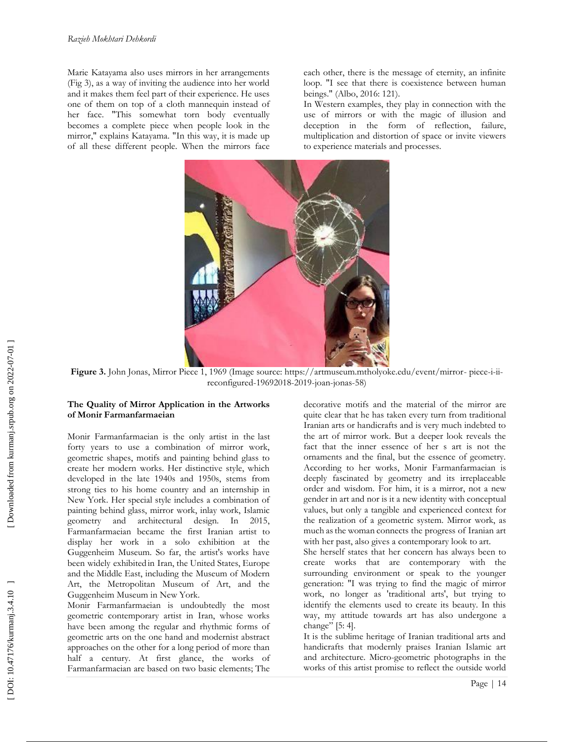Marie Katayama also uses mirrors in her arrangements (Fig 3), as a way of inviting the audience into her world and it makes them feel part of their experience. He uses one of them on top of a cloth mannequin instead of her face. "This somewhat torn body eventually becomes a complete piece when people look in the mirror," explains Katayama. "In this way, it is made up of all these different people. When the mirrors face each other, there is the message of eternity, an infinite loop. "I see that there is coexistence between human beings." (Albo, 2016: 121) .

In Western examples, they play in connection with the use of mirrors or with the magic of illusion and deception in the form of reflection, failure, multiplication and distortion of space or invite viewers to experience materials and processes.



Figure 3. John Jonas, Mirror Piece 1, 1969 (Image source: https://artmuseum.mtholyoke.edu/event/mirror-piece-i-iireconfigured -19692018 -2019 -joan -jonas -58)

#### **The Quality of Mirror Application in the Artworks of Monir Farmanfarmaeian**

Monir Farmanfarmaeian is the only artist in the last forty years to use a combination of mirror work, geometric shapes, motifs and painting behind glass to create her modern works. Her distinctive style, which developed in the late 1940s and 1950s, stems from strong ties to his home country and an internship in New York. Her special style includes a combination of painting behind glass, mirror work, inlay work, Islamic geometry and architectural design. In 2015, Farmanfarmaeian became the first Iranian artist to display her work in a solo exhibition at the Guggenheim Museum. So far, the artist's works have been widely exhibited in Iran, the United States, Europe and the Middle East, including the Museum of Modern Art, the Metropolitan Museum of Art, and the Guggenheim Museum in New York.

Monir Farmanfarmaeian is undoubtedly the most geometric contemporary artist in Iran, whose works have been among the regular and rhythmic forms of geometric arts on the one hand and modernist abstract approaches on the other for a long period of more than half a century. At first glance, the works of Farmanfarmaeian are based on two basic elements; The decorative motifs and the material of the mirror are quite clear that he has taken every turn from traditional Iranian arts or handicrafts and is very much indebted to the art of mirror work. But a deeper look reveals the fact that the inner essence of her s art is not the ornaments and the final, but the essence of geometry. According to her works, Monir Farmanfarmaeian is deeply fascinated by geometry and its irreplaceable order and wisdom. For him, it is a mirror, not a new gender in art and nor is it a new identity with conceptual values, but only a tangible and experienced context for the realization of a geometric system. Mirror work, as much asthe woman connects the progress of Iranian art with her past, also gives a contemporary look to art.

She herself states that her concern has always been to create works that are contemporary with the surrounding environment or speak to the younger generation: "I was trying to find the magic of mirror work, no longer as 'traditional arts', but trying to identify the elements used to create its beauty. In this way, my attitude towards art has also undergone a change" [5: 4].

It is the sublime heritage of Iranian traditional arts and handicrafts that modernly praises Iranian Islamic art and architecture. Micro -geometric photographs in the works of this artist promise to reflect the outside world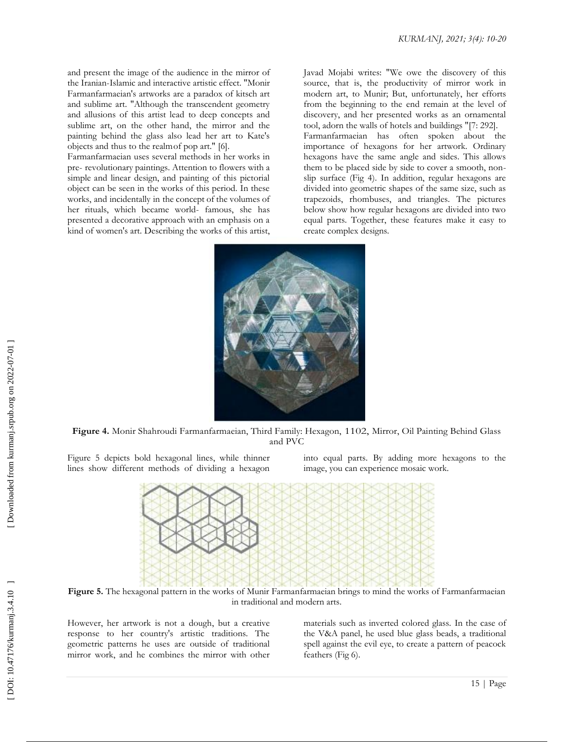and present the image of the audience in the mirror of the Iranian -Islamic and interactive artistic effect. "Monir Farmanfarmaeian's artworks are a paradox of kitsch art and sublime art. "Although the transcendent geometry and allusions of this artist lead to deep concepts and sublime art, on the other hand, the mirror and the painting behind the glass also lead her art to Kate's objects and thus to the realmof pop art." [ 6 ] .

Farmanfarmaeian uses several methods in her works in pre - revolutionary paintings. Attention to flowers with a simple and linear design, and painting of this pictorial object can be seen in the works of this period. In these works, and incidentally in the concept of the volumes of her rituals, which became world - famous, she has presented a decorative approach with an emphasis on a kind of women's art. Describing the works of this artist,

Javad Mojabi writes: "We owe the discovery of this source, that is, the productivity of mirror work in modern art, to Munir; But, unfortunately, her efforts from the beginning to the end remain at the level of discovery, and her presented works as an ornamental tool, adorn the walls of hotels and buildings "[ 7 : 292]. Farmanfarmaeian has often spoken about the importance of hexagons for her artwork. Ordinary hexagons have the same angle and sides. This allows them to be placed side by side to cover a smooth, non slip surface (Fig 4). In addition, regular hexagons are divided into geometric shapes of the same size, such as trapezoids, rhombuses, and triangles. The pictures below show how regular hexagons are divided into two equal parts. Together, these features make it easy to

create complex designs.



**Figure 4 .** Monir Shahroudi Farmanfarmaeian, Third Family: Hexagon, 1102, Mirror, Oil Painting Behind Glass and PVC

Figure 5 depicts bold hexagonal lines, while thinner lines show different methods of dividing a hexagon

into equal parts. By adding more hexagons to the image, you can experience mosaic work.



**Figure 5 .** The hexagonal pattern in the works of Munir Farmanfarmaeian brings to mind the works of Farmanfarmaeian in traditional and modern arts .

However, her artwork is not a dough, but a creative response to her country's artistic traditions. The geometric patterns he uses are outside of traditional mirror work, and he combines the mirror with other materials such as inverted colored glass. In the case of the V&A panel, he used blue glass beads, a traditional spell against the evil eye, to create a pattern of peacock feathers (Fig 6).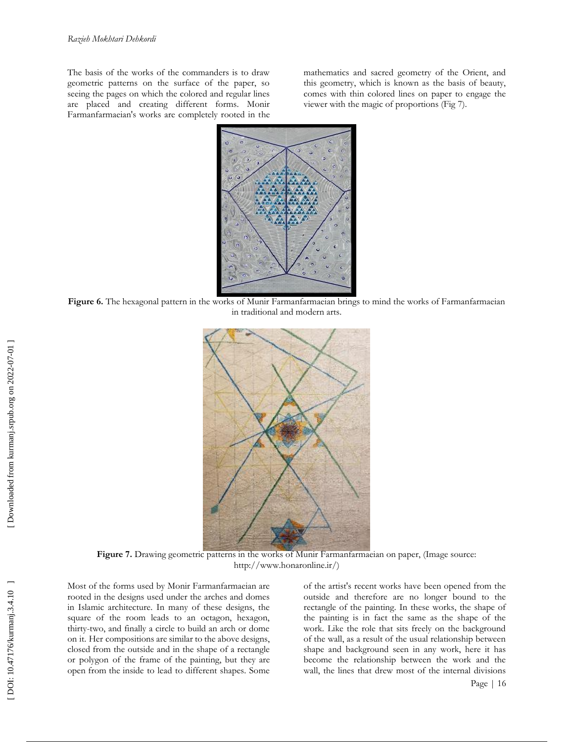The basis of the works of the commanders is to draw geometric patterns on the surface of the paper, so seeing the pages on which the colored and regular lines are placed and creating different forms. Monir Farmanfarmaeian's works are completely rooted in the mathematics and sacred geometry of the Orient, and this geometry, which is known as the basis of beauty, comes with thin colored lines on paper to engage the viewer with the magic of proportions (Fig 7).



Figure 6. The hexagonal pattern in the works of Munir Farmanfarmaeian brings to mind the works of Farmanfarmaeian in traditional and modern arts .



Figure 7. Drawing geometric patterns in the works of Munir Farmanfarmaeian on paper, (Image source: <http://www.honaronline.ir/\)>

Most of the forms used by Monir Farmanfarmaeian are rooted in the designs used under the arches and domes in Islamic architecture. In many of these designs, the square of the room leads to an octagon, hexagon, thirty -two, and finally a circle to build an arch or dome on it. Her compositions are similar to the above designs, closed from the outside and in the shape of a rectangle or polygon of the frame of the painting, but they are open from the inside to lead to different shapes. Some

of the artist's recent works have been opened from the outside and therefore are no longer bound to the rectangle of the painting. In these works, the shape of the painting is in fact the same as the shape of the work. Like the role that sits freely on the background of the wall, as a result of the usual relationship between shape and background seen in any work, here it has become the relationship between the work and the wall, the lines that drew most of the internal divisions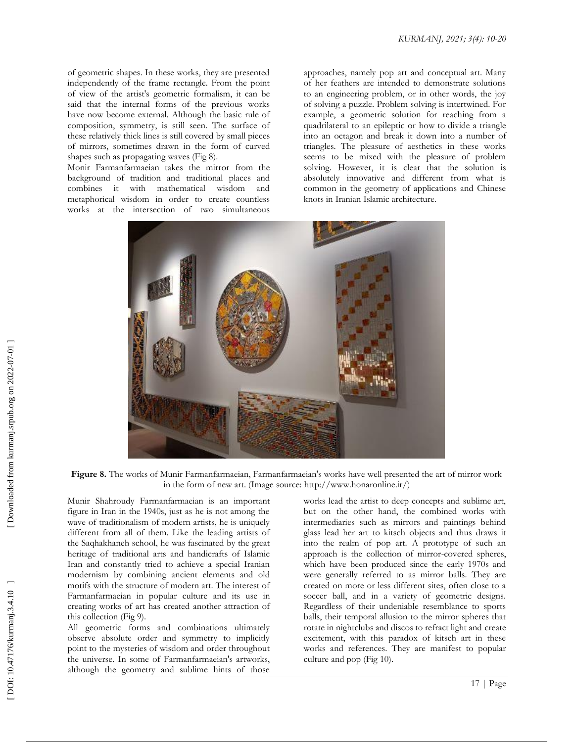of geometric shapes. In these works, they are presented independently of the frame rectangle. From the point of view of the artist's geometric formalism, it can be said that the internal forms of the previous works have now become external. Although the basic rule of composition, symmetry, is still seen. The surface of these relatively thick lines is still covered by small pieces of mirrors, sometimes drawn in the form of curved shapes such as propagating waves (Fig 8).

Monir Farmanfarmaeian takes the mirror from the background of tradition and traditional places and combines it with mathematical wisdom and metaphorical wisdom in order to create countless works at the intersection of two simultaneous approaches, namely pop art and conceptual art. Many of her feathers are intended to demonstrate solutions to an engineering problem, or in other words, the joy of solving a puzzle. Problem solving is intertwined. For example, a geometric solution for reaching from a quadrilateral to an epileptic or how to divide a triangle into an octagon and break it down into a number of triangles. The pleasure of aesthetics in these works seems to be mixed with the pleasure of problem solving. However, it is clear that the solution is absolutely innovative and different from what is common in the geometry of applications and Chinese knots in Iranian Islamic architecture.



**Figure 8.** The works of Munir Farmanfarmaeian, Farmanfarmaeian's works have well presented the art of mirror work in the form of new art. (Image source:<http://www.honaronline.ir/\)>

Munir Shahroudy Farmanfarmaeian is an important figure in Iran in the 1940s, just as he is not among the wave of traditionalism of modern artists, he is uniquely different from all of them. Like the leading artists of the Saqhakhaneh school, he was fascinated by the great heritage of traditional arts and handicrafts of Islamic Iran and constantly tried to achieve a special Iranian modernism by combining ancient elements and old motifs with the structure of modern art. The interest of Farmanfarmaeian in popular culture and its use in creating works of art has created another attraction of this collection (Fig 9).

All geometric forms and combinations ultimately observe absolute order and symmetry to implicitly point to the mysteries of wisdom and order throughout the universe. In some of Farmanfarmaeian's artworks, although the geometry and sublime hints of those works lead the artist to deep concepts and sublime art, but on the other hand, the combined works with intermediaries such as mirrors and paintings behind glass lead her art to kitsch objects and thus draws it into the realm of pop art. A prototype of such an approach is the collection of mirror -covered spheres, which have been produced since the early 1970s and were generally referred to as mirror balls. They are created on more or less different sites, often close to a soccer ball, and in a variety of geometric designs. Regardless of their undeniable resemblance to sports balls, their temporal allusion to the mirror spheres that rotate in nightclubs and discos to refract light and create excitement, with this paradox of kitsch art in these works and references. They are manifest to popular culture and pop (Fig 10) .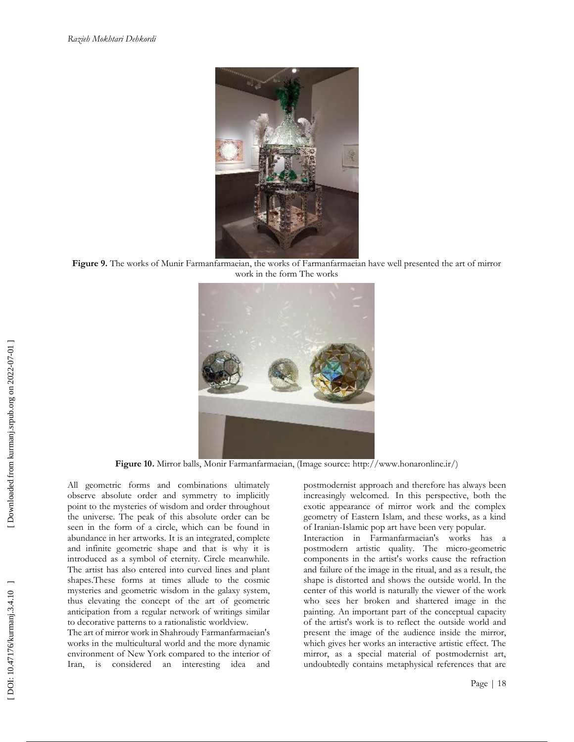

**Figure 9 .** The works of Munir Farmanfarmaeian, the works of Farmanfarmaeian have well presented the art of mirror work in the form The works



**Figure 10 .** Mirror balls, Monir Farmanfarmaeian, (Image source:<http://www.honaronline.ir/\)>

All geometric forms and combinations ultimately observe absolute order and symmetry to implicitly point to the mysteries of wisdom and order throughout the universe. The peak of this absolute order can be seen in the form of a circle, which can be found in abundance in her artworks. It is an integrated, complete and infinite geometric shape and that is why it is introduced as a symbol of eternity. Circle meanwhile. The artist has also entered into curved lines and plant shapes.These forms at times allude to the cosmic mysteries and geometric wisdom in the galaxy system, thus elevating the concept of the art of geometric anticipation from a regular network of writings similar to decorative patterns to a rationalistic worldview.

The art of mirror work in Shahroudy Farmanfarmaeian's works in the multicultural world and the more dynamic environment of New York compared to the interior of Iran, is considered an interesting idea and postmodernist approach and therefore has always been increasingly welcomed. In this perspective, both the exotic appearance of mirror work and the complex geometry of Eastern Islam, and these works, as a kind of Iranian -Islamic pop art have been very popular.

Interaction in Farmanfarmaeian's works has a postmodern artistic quality. The micro -geometric components in the artist's works cause the refraction and failure of the image in the ritual, and as a result, the shape is distorted and shows the outside world. In the center of this world is naturally the viewer of the work who sees her broken and shattered image in the painting. An important part of the conceptual capacity of the artist's work is to reflect the outside world and present the image of the audience inside the mirror, which gives her works an interactive artistic effect. The mirror, as a special material of postmodernist art, undoubtedly contains metaphysical references that are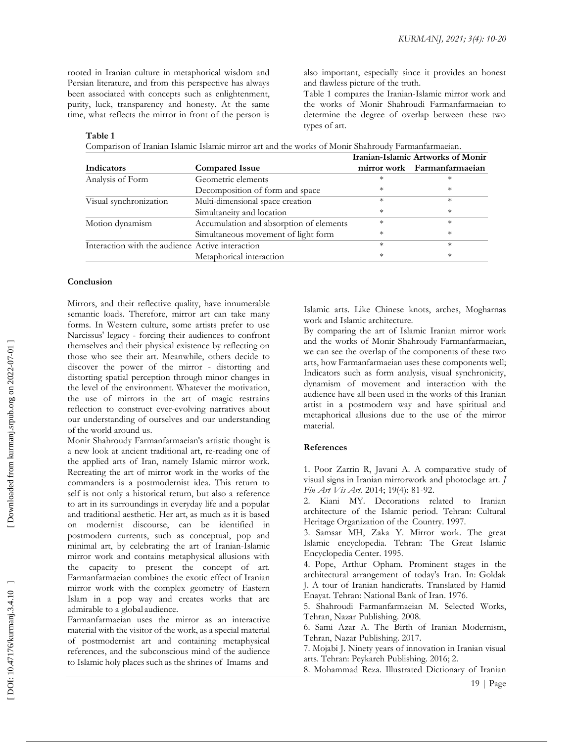rooted in Iranian culture in metaphorical wisdom and Persian literature, and from this perspective has always been associated with concepts such as enlightenment, purity, luck, transparency and honesty. At the same time, what reflects the mirror in front of the person is also important, especially since it provides an honest and flawless picture of the truth.

Table 1 compares the Iranian -Islamic mirror work and the works of Monir Shahroudi Farmanfarmaeian to determine the degree of overlap between these two types of art.

#### **Table 1**

|--|

|                                                  |                                         | Iranian-Islamic Artworks of Monir |                             |
|--------------------------------------------------|-----------------------------------------|-----------------------------------|-----------------------------|
| Indicators                                       | <b>Compared Issue</b>                   |                                   | mirror work Farmanfarmaeian |
| Analysis of Form                                 | Geometric elements                      |                                   | $^\star$                    |
|                                                  | Decomposition of form and space         | $\ast$                            | $^\ast$                     |
| Visual synchronization                           | Multi-dimensional space creation        | $\ast$                            | $\ast$                      |
|                                                  | Simultaneity and location               | $^\ast$                           | $^\ast$                     |
| Motion dynamism                                  | Accumulation and absorption of elements | $\ast$                            | $^{\ast}$                   |
|                                                  | Simultaneous movement of light form     | $^{\ast}$                         | $^\ast$                     |
| Interaction with the audience Active interaction |                                         | $\ast$                            | $\ast$                      |
|                                                  | Metaphorical interaction                | $^\ast$                           | $^\ast$                     |

#### **Conclusion**

Mirrors, and their reflective quality, have innumerable semantic loads. Therefore, mirror art can take many forms. In Western culture, some artists prefer to use Narcissus' legacy - forcing their audiences to confront themselves and their physical existence by reflecting on those who see their art. Meanwhile, others decide to discover the power of the mirror - distorting and distorting spatial perception through minor changes in the level of the environment. Whatever the motivation, the use of mirrors in the art of magic restrains reflection to construct ever -evolving narratives about our understanding of ourselves and our understanding of the world around us.

Monir Shahroudy Farmanfarmaeian's artistic thought is a new look at ancient traditional art, re-reading one of the applied arts of Iran, namely Islamic mirror work. Recreating the art of mirror work in the works of the commanders is a postmodernist idea. This return to self is not only a historical return, but also a reference to art in its surroundings in everyday life and a popular and traditional aesthetic. Her art, as much as it is based on modernist discourse, can be identified in postmodern currents, such as conceptual, pop and minimal art, by celebrating the art of Iranian -Islamic mirror work and contains metaphysical allusions with the capacity to present the concept of art. Farmanfarmaeian combines the exotic effect of Iranian mirror work with the complex geometry of Eastern Islam in a pop way and creates works that are admirable to a global audience.

Farmanfarmaeian uses the mirror as an interactive material with the visitor of the work, as a special material of postmodernist art and containing metaphysical references, and the subconscious mind of the audience to Islamic holy places such as the shrines of Imams and

Islamic arts. Like Chinese knots, arches, Mogharnas work and Islamic architecture.

By comparing the art of Islamic Iranian mirror work and the works of Monir Shahroudy Farmanfarmaeian, we can see the overlap of the components of these two arts, how Farmanfarmaeian uses these components well; Indicators such as form analysis, visual synchronicity, dynamism of movement and interaction with the audience have all been used in the works of this Iranian artist in a postmodern way and have spiritual and metaphorical allusions due to the use of the mirror material.

#### **References**

1. Poor Zarrin R, Javani A. A comparative study of visual signs in Iranian mirrorwork and photoclage art. *J Fin Art Vis Art.* 2014; 19( 4): 81 -92.

2. Kiani MY. Decorations related to Iranian architecture of the Islamic period. Tehran: Cultural Heritage Organization of the Country. 1997 .

3. Samsar MH, Zaka Y . Mirror work. The great Islamic encyclopedia. Tehran: The Great Islamic Encyclopedia Center . 1995 .

4. Pope, Arthur Opham . Prominent stages in the architectural arrangement of today's Iran . In : Goldak J. A tour of Iranian handicrafts. Translated by Hamid Enayat. Tehran: National Bank of Iran . 1976 .

5. Shahroudi Farmanfarmaeian M . Selected Works, Tehran, Nazar Publishing. 2008 .

6. Sami Azar A . The Birth of Iranian Modernism, Tehran, Nazar Publishing. 2017 .

7. Mojabi J . Ninety years of innovation in Iranian visual arts . Tehran: Peykareh Publishing. 2016; 2 .

8. Mohammad Reza. Illustrated Dictionary of Iranian